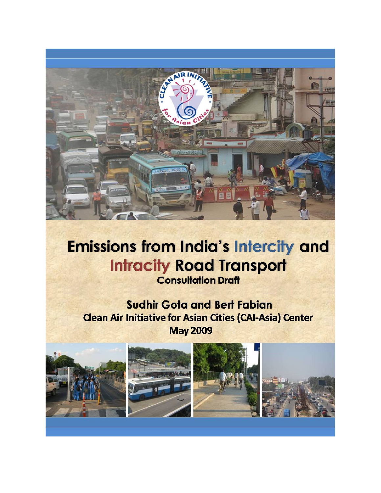

# **Emissions from India's Intercity and Intracity Road Transport Consultation Draft**

**Sudhir Gota and Bert Fabian Clean Air Initiative for Asian Cities (CAI-Asia) Center May 2009** 

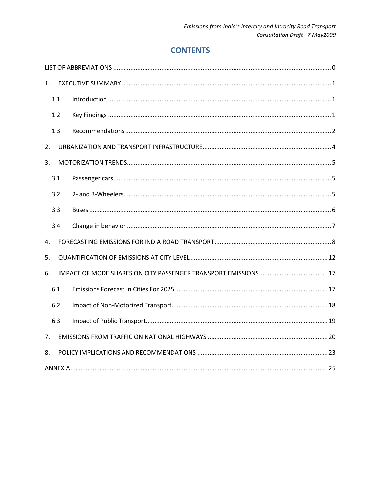# **CONTENTS**

| 1.  |  |
|-----|--|
| 1.1 |  |
| 1.2 |  |
| 1.3 |  |
| 2.  |  |
| 3.  |  |
| 3.1 |  |
| 3.2 |  |
| 3.3 |  |
| 3.4 |  |
| 4.  |  |
| 5.  |  |
| 6.  |  |
| 6.1 |  |
| 6.2 |  |
| 6.3 |  |
| 7.  |  |
| 8.  |  |
|     |  |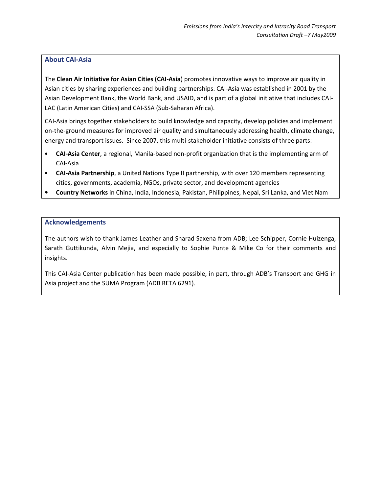### About CAI-Asia

The Clean Air Initiative for Asian Cities (CAI-Asia) promotes innovative ways to improve air quality in Asian cities by sharing experiences and building partnerships. CAI-Asia was established in 2001 by the Asian Development Bank, the World Bank, and USAID, and is part of a global initiative that includes CAI-LAC (Latin American Cities) and CAI-SSA (Sub-Saharan Africa).

CAI-Asia brings together stakeholders to build knowledge and capacity, develop policies and implement on-the-ground measures for improved air quality and simultaneously addressing health, climate change, energy and transport issues. Since 2007, this multi-stakeholder initiative consists of three parts:

- CAI-Asia Center, a regional, Manila-based non-profit organization that is the implementing arm of CAI-Asia
- CAI-Asia Partnership, a United Nations Type II partnership, with over 120 members representing cities, governments, academia, NGOs, private sector, and development agencies
- Country Networks in China, India, Indonesia, Pakistan, Philippines, Nepal, Sri Lanka, and Viet Nam

#### Acknowledgements

The authors wish to thank James Leather and Sharad Saxena from ADB; Lee Schipper, Cornie Huizenga, Sarath Guttikunda, Alvin Mejia, and especially to Sophie Punte & Mike Co for their comments and insights.

This CAI-Asia Center publication has been made possible, in part, through ADB's Transport and GHG in Asia project and the SUMA Program (ADB RETA 6291).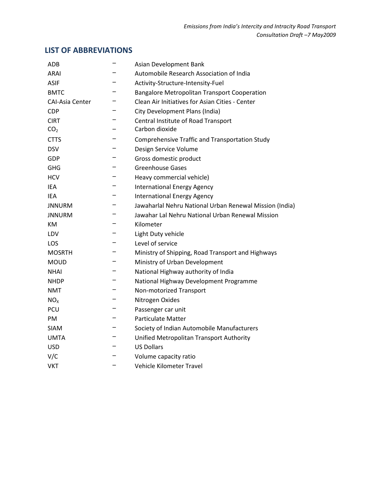# LIST OF ABBREVIATIONS

| ADB                    | Asian Development Bank                                  |
|------------------------|---------------------------------------------------------|
| <b>ARAI</b>            | Automobile Research Association of India                |
| <b>ASIF</b>            | Activity-Structure-Intensity-Fuel                       |
| <b>BMTC</b>            | <b>Bangalore Metropolitan Transport Cooperation</b>     |
| <b>CAI-Asia Center</b> | Clean Air Initiatives for Asian Cities - Center         |
| <b>CDP</b>             | City Development Plans (India)                          |
| <b>CIRT</b>            | Central Institute of Road Transport                     |
| CO <sub>2</sub>        | Carbon dioxide                                          |
| <b>CTTS</b>            | <b>Comprehensive Traffic and Transportation Study</b>   |
| <b>DSV</b>             | Design Service Volume                                   |
| GDP                    | Gross domestic product                                  |
| GHG                    | <b>Greenhouse Gases</b>                                 |
| <b>HCV</b>             | Heavy commercial vehicle)                               |
| IEA                    | <b>International Energy Agency</b>                      |
| IEA                    | <b>International Energy Agency</b>                      |
| <b>JNNURM</b>          | Jawaharlal Nehru National Urban Renewal Mission (India) |
| <b>JNNURM</b>          | Jawahar Lal Nehru National Urban Renewal Mission        |
| ĸм                     | Kilometer                                               |
| LDV                    | Light Duty vehicle                                      |
| LOS                    | Level of service                                        |
| <b>MOSRTH</b>          | Ministry of Shipping, Road Transport and Highways       |
| <b>MOUD</b>            | Ministry of Urban Development                           |
| <b>NHAI</b>            | National Highway authority of India                     |
| <b>NHDP</b>            | National Highway Development Programme                  |
| NMT                    | Non-motorized Transport                                 |
| NO <sub>x</sub>        | Nitrogen Oxides                                         |
| PCU                    | Passenger car unit                                      |
| PM                     | <b>Particulate Matter</b>                               |
| <b>SIAM</b>            | Society of Indian Automobile Manufacturers              |
| <b>UMTA</b>            | Unified Metropolitan Transport Authority                |
| <b>USD</b>             | <b>US Dollars</b>                                       |
| V/C                    | Volume capacity ratio                                   |
| <b>VKT</b>             | Vehicle Kilometer Travel                                |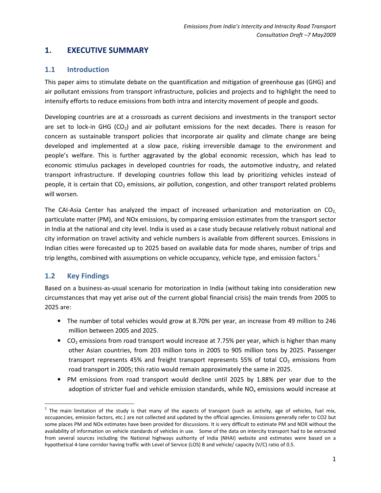# 1. EXECUTIVE SUMMARY

### 1.1 Introduction

This paper aims to stimulate debate on the quantification and mitigation of greenhouse gas (GHG) and air pollutant emissions from transport infrastructure, policies and projects and to highlight the need to intensify efforts to reduce emissions from both intra and intercity movement of people and goods.

Developing countries are at a crossroads as current decisions and investments in the transport sector are set to lock-in GHG ( $CO<sub>2</sub>$ ) and air pollutant emissions for the next decades. There is reason for concern as sustainable transport policies that incorporate air quality and climate change are being developed and implemented at a slow pace, risking irreversible damage to the environment and people's welfare. This is further aggravated by the global economic recession, which has lead to economic stimulus packages in developed countries for roads, the automotive industry, and related transport infrastructure. If developing countries follow this lead by prioritizing vehicles instead of people, it is certain that  $CO<sub>2</sub>$  emissions, air pollution, congestion, and other transport related problems will worsen.

The CAI-Asia Center has analyzed the impact of increased urbanization and motorization on  $CO<sub>2</sub>$ particulate matter (PM), and NOx emissions, by comparing emission estimates from the transport sector in India at the national and city level. India is used as a case study because relatively robust national and city information on travel activity and vehicle numbers is available from different sources. Emissions in Indian cities were forecasted up to 2025 based on available data for mode shares, number of trips and trip lengths, combined with assumptions on vehicle occupancy, vehicle type, and emission factors.<sup>1</sup>

# 1.2 Key Findings

Based on a business-as-usual scenario for motorization in India (without taking into consideration new circumstances that may yet arise out of the current global financial crisis) the main trends from 2005 to 2025 are:

- The number of total vehicles would grow at 8.70% per year, an increase from 49 million to 246 million between 2005 and 2025.
- CO<sub>2</sub> emissions from road transport would increase at 7.75% per year, which is higher than many other Asian countries, from 203 million tons in 2005 to 905 million tons by 2025. Passenger transport represents 45% and freight transport represents 55% of total  $CO<sub>2</sub>$  emissions from road transport in 2005; this ratio would remain approximately the same in 2025.
- PM emissions from road transport would decline until 2025 by 1.88% per year due to the adoption of stricter fuel and vehicle emission standards, while NO<sub>x</sub> emissions would increase at

 $1$  The main limitation of the study is that many of the aspects of transport (such as activity, age of vehicles, fuel mix, occupancies, emission factors, etc.) are not collected and updated by the official agencies. Emissions generally refer to CO2 but some places PM and NOx estimates have been provided for discussions. It is very difficult to estimate PM and NOX without the availability of information on vehicle standards of vehicles in use. Some of the data on intercity transport had to be extracted from several sources including the National highways authority of India (NHAI) website and estimates were based on a hypothetical 4-lane corridor having traffic with Level of Service (LOS) B and vehicle/ capacity (V/C) ratio of 0.5.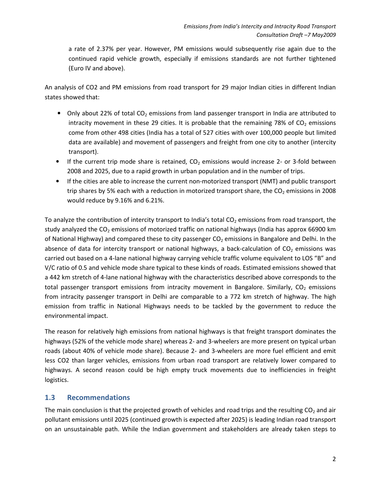a rate of 2.37% per year. However, PM emissions would subsequently rise again due to the continued rapid vehicle growth, especially if emissions standards are not further tightened (Euro IV and above).

An analysis of CO2 and PM emissions from road transport for 29 major Indian cities in different Indian states showed that:

- Only about 22% of total  $CO<sub>2</sub>$  emissions from land passenger transport in India are attributed to intracity movement in these 29 cities. It is probable that the remaining 78% of  $CO<sub>2</sub>$  emissions come from other 498 cities (India has a total of 527 cities with over 100,000 people but limited data are available) and movement of passengers and freight from one city to another (intercity transport).
- If the current trip mode share is retained,  $CO<sub>2</sub>$  emissions would increase 2- or 3-fold between 2008 and 2025, due to a rapid growth in urban population and in the number of trips.
- If the cities are able to increase the current non-motorized transport (NMT) and public transport trip shares by 5% each with a reduction in motorized transport share, the  $CO<sub>2</sub>$  emissions in 2008 would reduce by 9.16% and 6.21%.

To analyze the contribution of intercity transport to India's total  $CO<sub>2</sub>$  emissions from road transport, the study analyzed the CO<sub>2</sub> emissions of motorized traffic on national highways (India has approx 66900 km of National Highway) and compared these to city passenger  $CO<sub>2</sub>$  emissions in Bangalore and Delhi. In the absence of data for intercity transport or national highways, a back-calculation of  $CO<sub>2</sub>$  emissions was carried out based on a 4-lane national highway carrying vehicle traffic volume equivalent to LOS "B" and V/C ratio of 0.5 and vehicle mode share typical to these kinds of roads. Estimated emissions showed that a 442 km stretch of 4-lane national highway with the characteristics described above corresponds to the total passenger transport emissions from intracity movement in Bangalore. Similarly,  $CO<sub>2</sub>$  emissions from intracity passenger transport in Delhi are comparable to a 772 km stretch of highway. The high emission from traffic in National Highways needs to be tackled by the government to reduce the environmental impact.

The reason for relatively high emissions from national highways is that freight transport dominates the highways (52% of the vehicle mode share) whereas 2- and 3-wheelers are more present on typical urban roads (about 40% of vehicle mode share). Because 2- and 3-wheelers are more fuel efficient and emit less CO2 than larger vehicles, emissions from urban road transport are relatively lower compared to highways. A second reason could be high empty truck movements due to inefficiencies in freight logistics.

# 1.3 Recommendations

The main conclusion is that the projected growth of vehicles and road trips and the resulting  $CO<sub>2</sub>$  and air pollutant emissions until 2025 (continued growth is expected after 2025) is leading Indian road transport on an unsustainable path. While the Indian government and stakeholders are already taken steps to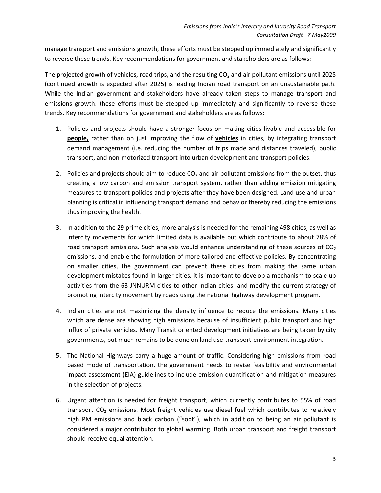manage transport and emissions growth, these efforts must be stepped up immediately and significantly to reverse these trends. Key recommendations for government and stakeholders are as follows:

The projected growth of vehicles, road trips, and the resulting  $CO<sub>2</sub>$  and air pollutant emissions until 2025 (continued growth is expected after 2025) is leading Indian road transport on an unsustainable path. While the Indian government and stakeholders have already taken steps to manage transport and emissions growth, these efforts must be stepped up immediately and significantly to reverse these trends. Key recommendations for government and stakeholders are as follows:

- 1. Policies and projects should have a stronger focus on making cities livable and accessible for people, rather than on just improving the flow of vehicles in cities, by integrating transport demand management (i.e. reducing the number of trips made and distances traveled), public transport, and non-motorized transport into urban development and transport policies.
- 2. Policies and projects should aim to reduce  $CO<sub>2</sub>$  and air pollutant emissions from the outset, thus creating a low carbon and emission transport system, rather than adding emission mitigating measures to transport policies and projects after they have been designed. Land use and urban planning is critical in influencing transport demand and behavior thereby reducing the emissions thus improving the health.
- 3. In addition to the 29 prime cities, more analysis is needed for the remaining 498 cities, as well as intercity movements for which limited data is available but which contribute to about 78% of road transport emissions. Such analysis would enhance understanding of these sources of  $CO<sub>2</sub>$ emissions, and enable the formulation of more tailored and effective policies. By concentrating on smaller cities, the government can prevent these cities from making the same urban development mistakes found in larger cities. it is important to develop a mechanism to scale up activities from the 63 JNNURM cities to other Indian cities and modify the current strategy of promoting intercity movement by roads using the national highway development program.
- 4. Indian cities are not maximizing the density influence to reduce the emissions. Many cities which are dense are showing high emissions because of insufficient public transport and high influx of private vehicles. Many Transit oriented development initiatives are being taken by city governments, but much remains to be done on land use-transport-environment integration.
- 5. The National Highways carry a huge amount of traffic. Considering high emissions from road based mode of transportation, the government needs to revise feasibility and environmental impact assessment (EIA) guidelines to include emission quantification and mitigation measures in the selection of projects.
- 6. Urgent attention is needed for freight transport, which currently contributes to 55% of road transport  $CO<sub>2</sub>$  emissions. Most freight vehicles use diesel fuel which contributes to relatively high PM emissions and black carbon ("soot"), which in addition to being an air pollutant is considered a major contributor to global warming. Both urban transport and freight transport should receive equal attention.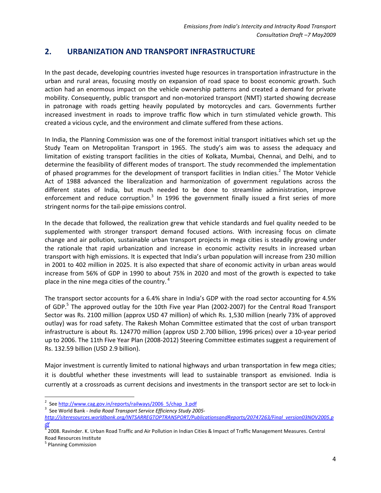# 2. URBANIZATION AND TRANSPORT INFRASTRUCTURE

In the past decade, developing countries invested huge resources in transportation infrastructure in the urban and rural areas, focusing mostly on expansion of road space to boost economic growth. Such action had an enormous impact on the vehicle ownership patterns and created a demand for private mobility. Consequently, public transport and non-motorized transport (NMT) started showing decrease in patronage with roads getting heavily populated by motorcycles and cars. Governments further increased investment in roads to improve traffic flow which in turn stimulated vehicle growth. This created a vicious cycle, and the environment and climate suffered from these actions.

In India, the Planning Commission was one of the foremost initial transport initiatives which set up the Study Team on Metropolitan Transport in 1965. The study's aim was to assess the adequacy and limitation of existing transport facilities in the cities of Kolkata, Mumbai, Chennai, and Delhi, and to determine the feasibility of different modes of transport. The study recommended the implementation of phased programmes for the development of transport facilities in Indian cities.<sup>2</sup> The Motor Vehicle Act of 1988 advanced the liberalization and harmonization of government regulations across the different states of India, but much needed to be done to streamline administration, improve enforcement and reduce corruption.<sup>3</sup> In 1996 the government finally issued a first series of more stringent norms for the tail-pipe emissions control.

In the decade that followed, the realization grew that vehicle standards and fuel quality needed to be supplemented with stronger transport demand focused actions. With increasing focus on climate change and air pollution, sustainable urban transport projects in mega cities is steadily growing under the rationale that rapid urbanization and increase in economic activity results in increased urban transport with high emissions. It is expected that India's urban population will increase from 230 million in 2001 to 402 million in 2025. It is also expected that share of economic activity in urban areas would increase from 56% of GDP in 1990 to about 75% in 2020 and most of the growth is expected to take place in the nine mega cities of the country.<sup>4</sup>

The transport sector accounts for a 6.4% share in India's GDP with the road sector accounting for 4.5% of GDP.<sup>5</sup> The approved outlay for the 10th Five year Plan (2002-2007) for the Central Road Transport Sector was Rs. 2100 million (approx USD 47 million) of which Rs. 1,530 million (nearly 73% of approved outlay) was for road safety. The Rakesh Mohan Committee estimated that the cost of urban transport infrastructure is about Rs. 124770 million (approx USD 2.700 billion, 1996 prices) over a 10-year period up to 2006. The 11th Five Year Plan (2008-2012) Steering Committee estimates suggest a requirement of Rs. 132.59 billion (USD 2.9 billion).

Major investment is currently limited to national highways and urban transportation in few mega cities; it is doubtful whether these investments will lead to sustainable transport as envisioned. India is currently at a crossroads as current decisions and investments in the transport sector are set to lock-in

3 See World Bank - India Road Transport Service Efficiency Study 2005-

l

<sup>&</sup>lt;sup>2</sup> See http://www.cag.gov.in/reports/railways/2006\_5/chap\_3.pdf

http://siteresources.worldbank.org/INTSARREGTOPTRANSPORT/PublicationsandReports/20747263/Final\_version03NOV2005.p

<sup>&</sup>lt;u>df</u><br><sup>4</sup> 2008. Ravinder. K. Urban Road Traffic and Air Pollution in Indian Cities & Impact of Traffic Management Measures. Central Road Resources Institute

<sup>&</sup>lt;sup>5</sup> Planning Commission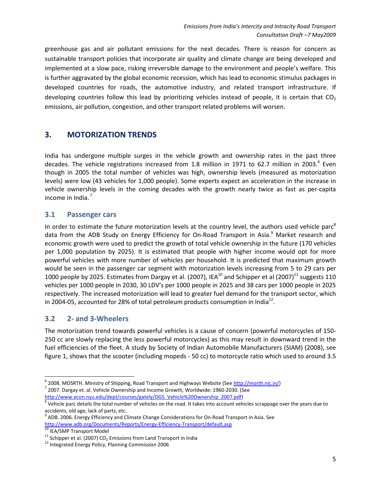greenhouse gas and air pollutant emissions for the next decades. There is reason for concern as sustainable transport policies that incorporate air quality and climate change are being developed and implemented at a slow pace, risking irreversible damage to the environment and people's welfare. This is further aggravated by the global economic recession, which has lead to economic stimulus packages in developed countries for roads, the automotive industry, and related transport infrastructure. If developing countries follow this lead by prioritizing vehicles instead of people, it is certain that  $CO<sub>2</sub>$ emissions, air pollution, congestion, and other transport related problems will worsen.

# 3. MOTORIZATION TRENDS

India has undergone multiple surges in the vehicle growth and ownership rates in the past three decades. The vehicle registrations increased from 1.8 million in 1971 to 62.7 million in 2003. $^6$  Even though in 2005 the total number of vehicles was high, ownership levels (measured as motorization levels) were low (43 vehicles for 1,000 people). Some experts expect an acceleration in the increase in vehicle ownership levels in the coming decades with the growth nearly twice as fast as per-capita income in India. $<sup>7</sup>$ </sup>

### 3.1 Passenger cars

In order to estimate the future motorization levels at the country level, the authors used vehicle parc<sup>8</sup> data from the ADB Study on Energy Efficiency for On-Road Transport in Asia.<sup>9</sup> Market research and economic growth were used to predict the growth of total vehicle ownership in the future (170 vehicles per 1,000 population by 2025). It is estimated that people with higher income would opt for more powerful vehicles with more number of vehicles per household. It is predicted that maximum growth would be seen in the passenger car segment with motorization levels increasing from 5 to 29 cars per 1000 people by 2025. Estimates from Dargay et al. (2007), IEA<sup>10</sup> and Schipper et al (2007)<sup>11</sup> suggests 110 vehicles per 1000 people in 2030, 30 LDV's per 1000 people in 2025 and 38 cars per 1000 people in 2025 respectively. The increased motorization will lead to greater fuel demand for the transport sector, which in 2004-05, accounted for 28% of total petroleum products consumption in India<sup>12</sup>.

# 3.2 2- and 3-Wheelers

The motorization trend towards powerful vehicles is a cause of concern (powerful motorcycles of 150- 250 cc are slowly replacing the less powerful motorcycles) as this may result in downward trend in the fuel efficiencies of the fleet. A study by Society of Indian Automobile Manufacturers (SIAM) (2008), see figure 1, shows that the scooter (including mopeds - 50 cc) to motorcycle ratio which used to around 3.5

l

<sup>&</sup>lt;sup>6</sup> 2008. MOSRTH. Ministry of Shipping, Road Transport and Highways Website (See http://morth.nic.in/) <sup>7</sup> 2007. Dargay et. al. Vehicle Ownership and Income Growth, Worldwide: 1960-2030. (See http://www.econ.nyu.edu/dept/courses/gately/DGS\_Vehicle%20Ownership\_2007.pdf)

 $^8$  Vehicle parc details the total number of vehicles on the road. It takes into account vehicles scrappage over the years due to

accidents, old age, lack of parts, etc.<br><sup>9</sup> ADB. 2006. Energy Efficiency and Climate Change Considerations for On-Road Transport in Asia. See http://www.adb.org/Documents/Reports/Energy-Efficiency-Transport/default.asp

<sup>&</sup>lt;sup>10</sup> IEA/SMP Transport Model

<sup>&</sup>lt;sup>11</sup> Schipper et al. (2007) CO<sub>2</sub> Emissions from Land Transport in India

<sup>&</sup>lt;sup>12</sup> Integrated Energy Policy, Planning Commission 2006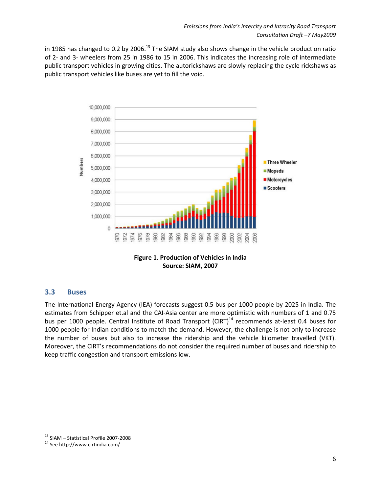in 1985 has changed to 0.2 by 2006.<sup>13</sup> The SIAM study also shows change in the vehicle production ratio of 2- and 3- wheelers from 25 in 1986 to 15 in 2006. This indicates the increasing role of intermediate public transport vehicles in growing cities. The autorickshaws are slowly replacing the cycle rickshaws as public transport vehicles like buses are yet to fill the void.



Source: SIAM, 2007

### 3.3 Buses

The International Energy Agency (IEA) forecasts suggest 0.5 bus per 1000 people by 2025 in India. The estimates from Schipper et.al and the CAI-Asia center are more optimistic with numbers of 1 and 0.75 bus per 1000 people. Central Institute of Road Transport (CIRT)<sup>14</sup> recommends at-least 0.4 buses for 1000 people for Indian conditions to match the demand. However, the challenge is not only to increase the number of buses but also to increase the ridership and the vehicle kilometer travelled (VKT). Moreover, the CIRT's recommendations do not consider the required number of buses and ridership to keep traffic congestion and transport emissions low.

 $\overline{\phantom{0}}$ 

<sup>13</sup> SIAM – Statistical Profile 2007-2008

<sup>14</sup> See http://www.cirtindia.com/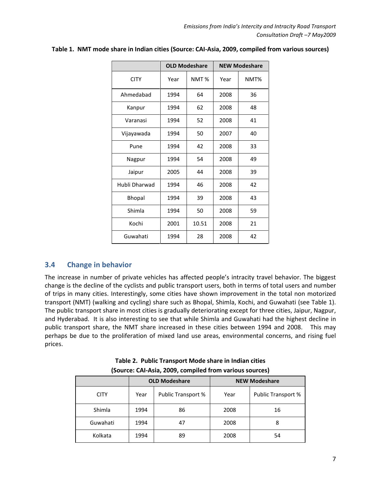|               |      | <b>OLD Modeshare</b> |      | <b>NEW Modeshare</b> |
|---------------|------|----------------------|------|----------------------|
| <b>CITY</b>   | Year | NMT <sub>%</sub>     | Year | NMT%                 |
| Ahmedabad     | 1994 | 64                   | 2008 | 36                   |
| Kanpur        | 1994 | 62                   | 2008 | 48                   |
| Varanasi      | 1994 | 52                   | 2008 | 41                   |
| Vijayawada    | 1994 | 50                   | 2007 | 40                   |
| Pune          | 1994 | 42                   | 2008 | 33                   |
| Nagpur        | 1994 | 54                   | 2008 | 49                   |
| Jaipur        | 2005 | 44                   | 2008 | 39                   |
| Hubli Dharwad | 1994 | 46                   | 2008 | 42                   |
| Bhopal        | 1994 | 39                   | 2008 | 43                   |
| Shimla        | 1994 | 50                   | 2008 | 59                   |
| Kochi         | 2001 | 10.51                | 2008 | 21                   |
| Guwahati      | 1994 | 28                   | 2008 | 42                   |

### Table 1. NMT mode share in Indian cities (Source: CAI-Asia, 2009, compiled from various sources)

### 3.4 Change in behavior

The increase in number of private vehicles has affected people's intracity travel behavior. The biggest change is the decline of the cyclists and public transport users, both in terms of total users and number of trips in many cities. Interestingly, some cities have shown improvement in the total non motorized transport (NMT) (walking and cycling) share such as Bhopal, Shimla, Kochi, and Guwahati (see Table 1). The public transport share in most cities is gradually deteriorating except for three cities, Jaipur, Nagpur, and Hyderabad. It is also interesting to see that while Shimla and Guwahati had the highest decline in public transport share, the NMT share increased in these cities between 1994 and 2008. This may perhaps be due to the proliferation of mixed land use areas, environmental concerns, and rising fuel prices.

|             |            | <b>OLD Modeshare</b> | <b>NEW Modeshare</b> |                    |  |  |  |  |  |  |
|-------------|------------|----------------------|----------------------|--------------------|--|--|--|--|--|--|
| <b>CITY</b> | Year       | Public Transport %   | Year                 | Public Transport % |  |  |  |  |  |  |
| Shimla      | 1994       | 86                   | 2008                 | 16                 |  |  |  |  |  |  |
| Guwahati    | 1994<br>47 |                      | 2008                 | 8                  |  |  |  |  |  |  |
| Kolkata     | 1994       | 89                   | 2008                 | 54                 |  |  |  |  |  |  |

| Table 2. Public Transport Mode share in Indian cities   |  |
|---------------------------------------------------------|--|
| (Source: CAI-Asia, 2009, compiled from various sources) |  |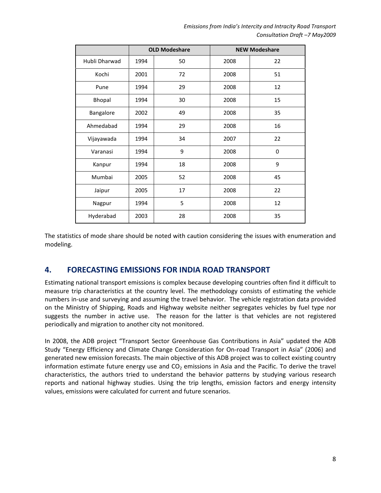Emissions from India's Intercity and Intracity Road Transport Consultation Draft –7 May2009

|               |      | <b>OLD Modeshare</b> |      | <b>NEW Modeshare</b> |
|---------------|------|----------------------|------|----------------------|
| Hubli Dharwad | 1994 | 50                   | 2008 | 22                   |
| Kochi         | 2001 | 72                   | 2008 | 51                   |
| Pune          | 1994 | 29                   | 2008 | 12                   |
| Bhopal        | 1994 | 30                   | 2008 | 15                   |
| Bangalore     | 2002 | 49                   | 2008 | 35                   |
| Ahmedabad     | 1994 | 29                   | 2008 | 16                   |
| Vijayawada    | 1994 | 34                   | 2007 | 22                   |
| Varanasi      | 1994 | 9                    | 2008 | 0                    |
| Kanpur        | 1994 | 18                   | 2008 | 9                    |
| Mumbai        | 2005 | 52                   | 2008 | 45                   |
| Jaipur        | 2005 | 17                   | 2008 | 22                   |
| Nagpur        | 1994 | 5                    | 2008 | 12                   |
| Hyderabad     | 2003 | 28                   | 2008 | 35                   |

The statistics of mode share should be noted with caution considering the issues with enumeration and modeling.

# 4. FORECASTING EMISSIONS FOR INDIA ROAD TRANSPORT

Estimating national transport emissions is complex because developing countries often find it difficult to measure trip characteristics at the country level. The methodology consists of estimating the vehicle numbers in-use and surveying and assuming the travel behavior. The vehicle registration data provided on the Ministry of Shipping, Roads and Highway website neither segregates vehicles by fuel type nor suggests the number in active use. The reason for the latter is that vehicles are not registered periodically and migration to another city not monitored.

In 2008, the ADB project "Transport Sector Greenhouse Gas Contributions in Asia" updated the ADB Study "Energy Efficiency and Climate Change Consideration for On-road Transport in Asia" (2006) and generated new emission forecasts. The main objective of this ADB project was to collect existing country information estimate future energy use and  $CO<sub>2</sub>$  emissions in Asia and the Pacific. To derive the travel characteristics, the authors tried to understand the behavior patterns by studying various research reports and national highway studies. Using the trip lengths, emission factors and energy intensity values, emissions were calculated for current and future scenarios.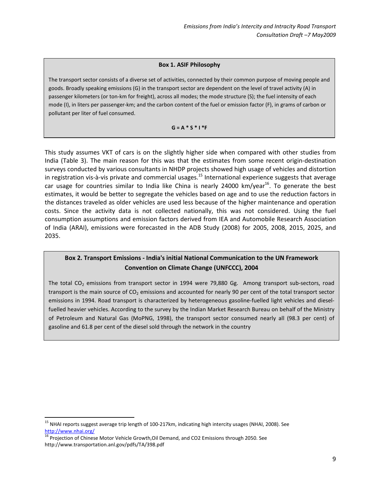#### Box 1. ASIF Philosophy

The transport sector consists of a diverse set of activities, connected by their common purpose of moving people and goods. Broadly speaking emissions (G) in the transport sector are dependent on the level of travel activity (A) in passenger kilometers (or ton-km for freight), across all modes; the mode structure (S); the fuel intensity of each mode (I), in liters per passenger-km; and the carbon content of the fuel or emission factor (F), in grams of carbon or pollutant per liter of fuel consumed.

#### $G = A * S * I * F$

This study assumes VKT of cars is on the slightly higher side when compared with other studies from India (Table 3). The main reason for this was that the estimates from some recent origin-destination surveys conducted by various consultants in NHDP projects showed high usage of vehicles and distortion in registration vis-à-vis private and commercial usages.<sup>15</sup> International experience suggests that average car usage for countries similar to India like China is nearly 24000 km/year<sup>16</sup>. To generate the best estimates, it would be better to segregate the vehicles based on age and to use the reduction factors in the distances traveled as older vehicles are used less because of the higher maintenance and operation costs. Since the activity data is not collected nationally, this was not considered. Using the fuel consumption assumptions and emission factors derived from IEA and Automobile Research Association of India (ARAI), emissions were forecasted in the ADB Study (2008) for 2005, 2008, 2015, 2025, and 2035.

### Box 2. Transport Emissions - India's initial National Communication to the UN Framework Convention on Climate Change (UNFCCC), 2004

The total  $CO<sub>2</sub>$  emissions from transport sector in 1994 were 79,880 Gg. Among transport sub-sectors, road transport is the main source of  $CO<sub>2</sub>$  emissions and accounted for nearly 90 per cent of the total transport sector emissions in 1994. Road transport is characterized by heterogeneous gasoline-fuelled light vehicles and dieselfuelled heavier vehicles. According to the survey by the Indian Market Research Bureau on behalf of the Ministry of Petroleum and Natural Gas (MoPNG, 1998), the transport sector consumed nearly all (98.3 per cent) of gasoline and 61.8 per cent of the diesel sold through the network in the country

 $\overline{a}$ 

<sup>&</sup>lt;sup>15</sup> NHAI reports suggest average trip length of 100-217km, indicating high intercity usages (NHAI, 2008). See http://www.nhai.org/

<sup>&</sup>lt;sup>16</sup> Projection of Chinese Motor Vehicle Growth, Oil Demand, and CO2 Emissions through 2050. See http://www.transportation.anl.gov/pdfs/TA/398.pdf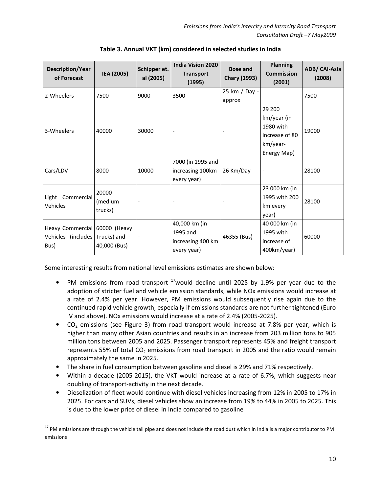| <b>Description/Year</b><br>of Forecast                      | IEA (2005)                  | Schipper et.<br>al (2005) | <b>India Vision 2020</b><br><b>Transport</b><br>(1995)        | <b>Bose and</b><br><b>Chary (1993)</b> | <b>Planning</b><br><b>Commission</b><br>(2001)                                  | ADB/ CAI-Asia<br>(2008) |
|-------------------------------------------------------------|-----------------------------|---------------------------|---------------------------------------------------------------|----------------------------------------|---------------------------------------------------------------------------------|-------------------------|
| 2-Wheelers                                                  | 7500                        | 9000                      | 3500                                                          | 25 km / Day -<br>approx                |                                                                                 | 7500                    |
| 3-Wheelers                                                  | 40000                       | 30000                     |                                                               |                                        | 29 200<br>km/year (in<br>1980 with<br>increase of 80<br>km/year-<br>Energy Map) | 19000                   |
| Cars/LDV                                                    | 8000                        | 10000                     | 7000 (in 1995 and<br>increasing 100km<br>every year)          | 26 Km/Day                              |                                                                                 | 28100                   |
| Light Commercial<br>Vehicles                                | 20000<br>(medium<br>trucks) |                           |                                                               |                                        | 23 000 km (in<br>1995 with 200<br>km every<br>year)                             | 28100                   |
| Heavy Commercial 60000 (Heavy<br>Vehicles (includes<br>Bus) | Trucks) and<br>40,000 (Bus) |                           | 40,000 km (in<br>1995 and<br>increasing 400 km<br>every year) | 46355 (Bus)                            | 40 000 km (in<br>1995 with<br>increase of<br>400km/year)                        | 60000                   |

Table 3. Annual VKT (km) considered in selected studies in India

Some interesting results from national level emissions estimates are shown below:

- PM emissions from road transport  $17$  would decline until 2025 by 1.9% per year due to the adoption of stricter fuel and vehicle emission standards, while NOx emissions would increase at a rate of 2.4% per year. However, PM emissions would subsequently rise again due to the continued rapid vehicle growth, especially if emissions standards are not further tightened (Euro IV and above). NOx emissions would increase at a rate of 2.4% (2005-2025).
- CO<sub>2</sub> emissions (see Figure 3) from road transport would increase at 7.8% per year, which is higher than many other Asian countries and results in an increase from 203 million tons to 905 million tons between 2005 and 2025. Passenger transport represents 45% and freight transport represents 55% of total  $CO<sub>2</sub>$  emissions from road transport in 2005 and the ratio would remain approximately the same in 2025.
- The share in fuel consumption between gasoline and diesel is 29% and 71% respectively.
- Within a decade (2005-2015), the VKT would increase at a rate of 6.7%, which suggests near doubling of transport-activity in the next decade.
- Dieselization of fleet would continue with diesel vehicles increasing from 12% in 2005 to 17% in 2025. For cars and SUVs, diesel vehicles show an increase from 19% to 44% in 2005 to 2025. This is due to the lower price of diesel in India compared to gasoline

<sup>&</sup>lt;sup>17</sup> PM emissions are through the vehicle tail pipe and does not include the road dust which in India is a major contributor to PM emissions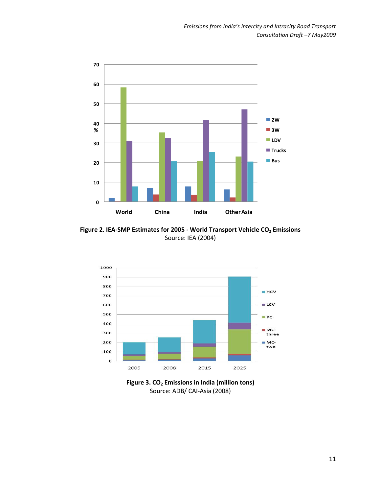

Figure 2. IEA-SMP Estimates for 2005 - World Transport Vehicle  $CO<sub>2</sub>$  Emissions Source: IEA (2004)



Figure 3.  $CO<sub>2</sub>$  Emissions in India (million tons) Source: ADB/ CAI-Asia (2008)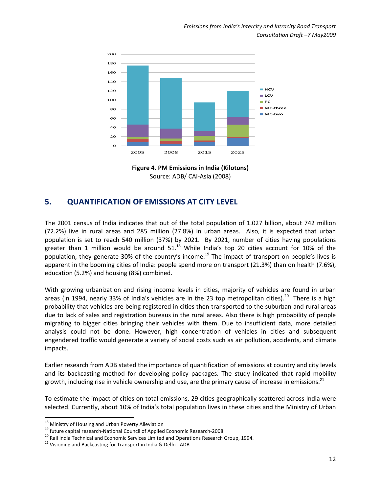

Figure 4. PM Emissions in India (Kilotons) Source: ADB/ CAI-Asia (2008)

# 5. QUANTIFICATION OF EMISSIONS AT CITY LEVEL

The 2001 census of India indicates that out of the total population of 1.027 billion, about 742 million (72.2%) live in rural areas and 285 million (27.8%) in urban areas. Also, it is expected that urban population is set to reach 540 million (37%) by 2021. By 2021, number of cities having populations greater than 1 million would be around  $51<sup>18</sup>$  While India's top 20 cities account for 10% of the population, they generate 30% of the country's income.<sup>19</sup> The impact of transport on people's lives is apparent in the booming cities of India: people spend more on transport (21.3%) than on health (7.6%), education (5.2%) and housing (8%) combined.

With growing urbanization and rising income levels in cities, majority of vehicles are found in urban areas (in 1994, nearly 33% of India's vehicles are in the 23 top metropolitan cities).<sup>20</sup> There is a high probability that vehicles are being registered in cities then transported to the suburban and rural areas due to lack of sales and registration bureaus in the rural areas. Also there is high probability of people migrating to bigger cities bringing their vehicles with them. Due to insufficient data, more detailed analysis could not be done. However, high concentration of vehicles in cities and subsequent engendered traffic would generate a variety of social costs such as air pollution, accidents, and climate impacts.

Earlier research from ADB stated the importance of quantification of emissions at country and city levels and its backcasting method for developing policy packages. The study indicated that rapid mobility growth, including rise in vehicle ownership and use, are the primary cause of increase in emissions.<sup>21</sup>

To estimate the impact of cities on total emissions, 29 cities geographically scattered across India were selected. Currently, about 10% of India's total population lives in these cities and the Ministry of Urban

 $\overline{a}$ 

<sup>&</sup>lt;sup>18</sup> Ministry of Housing and Urban Poverty Alleviation

<sup>19</sup> future capital research-National Council of Applied Economic Research-2008

<sup>&</sup>lt;sup>20</sup> Rail India Technical and Economic Services Limited and Operations Research Group, 1994.

<sup>&</sup>lt;sup>21</sup> Visioning and Backcasting for Transport in India & Delhi - ADB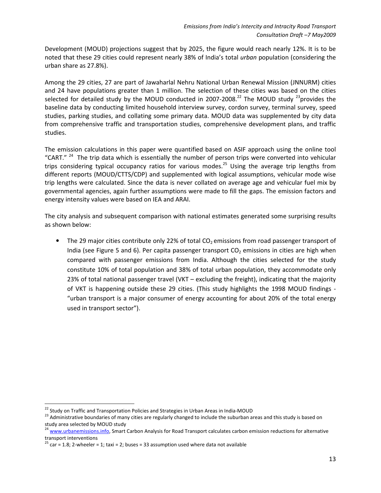Development (MOUD) projections suggest that by 2025, the figure would reach nearly 12%. It is to be noted that these 29 cities could represent nearly 38% of India's total *urban* population (considering the urban share as 27.8%).

Among the 29 cities, 27 are part of Jawaharlal Nehru National Urban Renewal Mission (JNNURM) cities and 24 have populations greater than 1 million. The selection of these cities was based on the cities selected for detailed study by the MOUD conducted in 2007-2008.<sup>22</sup> The MOUD study <sup>23</sup>provides the baseline data by conducting limited household interview survey, cordon survey, terminal survey, speed studies, parking studies, and collating some primary data. MOUD data was supplemented by city data from comprehensive traffic and transportation studies, comprehensive development plans, and traffic studies.

The emission calculations in this paper were quantified based on ASIF approach using the online tool "CART."  $24$  The trip data which is essentially the number of person trips were converted into vehicular trips considering typical occupancy ratios for various modes.<sup>25</sup> Using the average trip lengths from different reports (MOUD/CTTS/CDP) and supplemented with logical assumptions, vehicular mode wise trip lengths were calculated. Since the data is never collated on average age and vehicular fuel mix by governmental agencies, again further assumptions were made to fill the gaps. The emission factors and energy intensity values were based on IEA and ARAI.

The city analysis and subsequent comparison with national estimates generated some surprising results as shown below:

The 29 major cities contribute only 22% of total  $CO<sub>2</sub>$  emissions from road passenger transport of India (see Figure 5 and 6). Per capita passenger transport  $CO<sub>2</sub>$  emissions in cities are high when compared with passenger emissions from India. Although the cities selected for the study constitute 10% of total population and 38% of total urban population, they accommodate only 23% of total national passenger travel (VKT – excluding the freight), indicating that the majority of VKT is happening outside these 29 cities. (This study highlights the 1998 MOUD findings - "urban transport is a major consumer of energy accounting for about 20% of the total energy used in transport sector").

 $\overline{\phantom{0}}$ 

<sup>&</sup>lt;sup>22</sup> Study on Traffic and Transportation Policies and Strategies in Urban Areas in India-MOUD

<sup>&</sup>lt;sup>23</sup> Administrative boundaries of many cities are regularly changed to include the suburban areas and this study is based on study area selected by MOUD study

<sup>&</sup>lt;sup>24</sup> www.urbanemissions.info</u>, Smart Carbon Analysis for Road Transport calculates carbon emission reductions for alternative transport interventions

<sup>&</sup>lt;sup>25</sup> car = 1.8; 2-wheeler = 1; taxi = 2; buses = 33 assumption used where data not available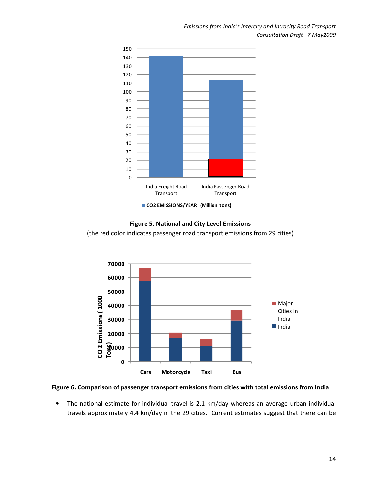Emissions from India's Intercity and Intracity Road Transport Consultation Draft –7 May2009



#### Figure 5. National and City Level Emissions

(the red color indicates passenger road transport emissions from 29 cities)



#### Figure 6. Comparison of passenger transport emissions from cities with total emissions from India

• The national estimate for individual travel is 2.1 km/day whereas an average urban individual travels approximately 4.4 km/day in the 29 cities. Current estimates suggest that there can be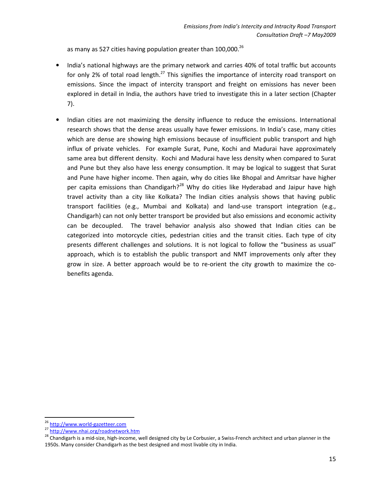as many as 527 cities having population greater than  $100,000$ .<sup>26</sup>

- India's national highways are the primary network and carries 40% of total traffic but accounts for only 2% of total road length.<sup>27</sup> This signifies the importance of intercity road transport on emissions. Since the impact of intercity transport and freight on emissions has never been explored in detail in India, the authors have tried to investigate this in a later section (Chapter 7).
- Indian cities are not maximizing the density influence to reduce the emissions. International research shows that the dense areas usually have fewer emissions. In India's case, many cities which are dense are showing high emissions because of insufficient public transport and high influx of private vehicles. For example Surat, Pune, Kochi and Madurai have approximately same area but different density. Kochi and Madurai have less density when compared to Surat and Pune but they also have less energy consumption. It may be logical to suggest that Surat and Pune have higher income. Then again, why do cities like Bhopal and Amritsar have higher per capita emissions than Chandigarh?<sup>28</sup> Why do cities like Hyderabad and Jaipur have high travel activity than a city like Kolkata? The Indian cities analysis shows that having public transport facilities (e.g., Mumbai and Kolkata) and land-use transport integration (e.g., Chandigarh) can not only better transport be provided but also emissions and economic activity can be decoupled. The travel behavior analysis also showed that Indian cities can be categorized into motorcycle cities, pedestrian cities and the transit cities. Each type of city presents different challenges and solutions. It is not logical to follow the "business as usual" approach, which is to establish the public transport and NMT improvements only after they grow in size. A better approach would be to re-orient the city growth to maximize the cobenefits agenda.

 $\overline{a}$ 

<sup>26</sup> http://www.world-gazetteer.com

<sup>&</sup>lt;sup>27</sup> http://www.nh<u>ai.org/roadnetwork.htm</u>

<sup>&</sup>lt;sup>28</sup> Chandigarh is a mid-size, high-income, well designed city by Le Corbusier, a Swiss-French architect and urban planner in the 1950s. Many consider Chandigarh as the best designed and most livable city in India.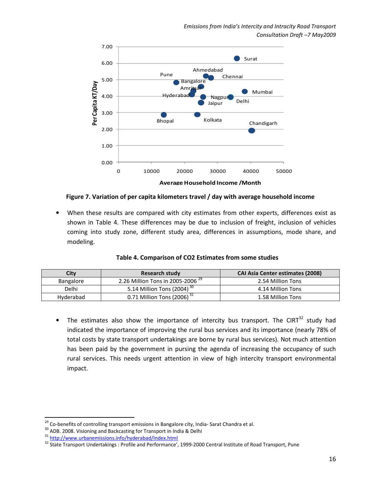

Figure 7. Variation of per capita kilometers travel / day with average household income

When these results are compared with city estimates from other experts, differences exist as shown in Table 4. These differences may be due to inclusion of freight, inclusion of vehicles coming into study zone, different study area, differences in assumptions, mode share, and modeling.

| City      | Research study                               | <b>CAI Asia Center estimates (2008)</b> |
|-----------|----------------------------------------------|-----------------------------------------|
| Bangalore | 2.26 Million Tons in 2005-2006 <sup>29</sup> | 2.54 Million Tons                       |
| Delhi     | 5.14 Million Tons (2004) <sup>30</sup>       | 4.14 Million Tons                       |

Hyderabad  $\begin{array}{|c|c|c|c|c|}\n\hline\n& 0.71$  Million Tons  $\begin{array}{|c|c|c|c|c|}\n\hline\n& 1.58$  Million Tons

Table 4. Comparison of CO2 Estimates from some studies

The estimates also show the importance of intercity bus transport. The CIRT<sup>32</sup> study had indicated the importance of improving the rural bus services and its importance (nearly 78% of total costs by state transport undertakings are borne by rural bus services). Not much attention has been paid by the government in pursing the agenda of increasing the occupancy of such rural services. This needs urgent attention in view of high intercity transport environmental impact.

l

<sup>&</sup>lt;sup>29</sup> Co-benefits of controlling transport emissions in Bangalore city, India- Sarat Chandra et al.

<sup>30</sup> ADB. 2008. Visioning and Backcasting for Transport in India & Delhi

<sup>31</sup> http://www.urbanemissions.info/hyderabad/Index.html

<sup>&</sup>lt;sup>32</sup> State Transport Undertakings : Profile and Performance', 1999-2000 Central Institute of Road Transport, Pune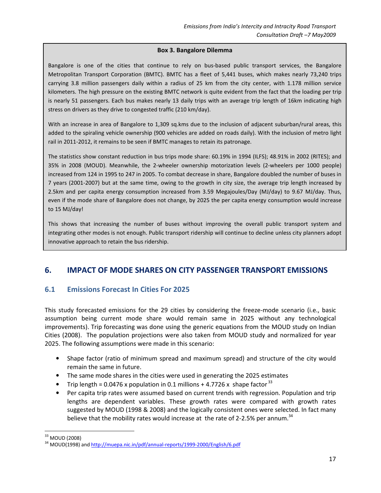#### Box 3. Bangalore Dilemma

Bangalore is one of the cities that continue to rely on bus-based public transport services, the Bangalore Metropolitan Transport Corporation (BMTC). BMTC has a fleet of 5,441 buses, which makes nearly 73,240 trips carrying 3.8 million passengers daily within a radius of 25 km from the city center, with 1.178 million service kilometers. The high pressure on the existing BMTC network is quite evident from the fact that the loading per trip is nearly 51 passengers. Each bus makes nearly 13 daily trips with an average trip length of 16km indicating high stress on drivers as they drive to congested traffic (210 km/day).

With an increase in area of Bangalore to 1,309 sq.kms due to the inclusion of adjacent suburban/rural areas, this added to the spiraling vehicle ownership (900 vehicles are added on roads daily). With the inclusion of metro light rail in 2011-2012, it remains to be seen if BMTC manages to retain its patronage.

The statistics show constant reduction in bus trips mode share: 60.19% in 1994 (ILFS); 48.91% in 2002 (RITES); and 35% in 2008 (MOUD). Meanwhile, the 2-wheeler ownership motorization levels (2-wheelers per 1000 people) increased from 124 in 1995 to 247 in 2005. To combat decrease in share, Bangalore doubled the number of buses in 7 years (2001-2007) but at the same time, owing to the growth in city size, the average trip length increased by 2.5km and per capita energy consumption increased from 3.59 Megajoules/Day (MJ/day) to 9.67 MJ/day. Thus, even if the mode share of Bangalore does not change, by 2025 the per capita energy consumption would increase to 15 MJ/day!

This shows that increasing the number of buses without improving the overall public transport system and integrating other modes is not enough. Public transport ridership will continue to decline unless city planners adopt innovative approach to retain the bus ridership.

# 6. IMPACT OF MODE SHARES ON CITY PASSENGER TRANSPORT EMISSIONS

### 6.1 Emissions Forecast In Cities For 2025

This study forecasted emissions for the 29 cities by considering the freeze-mode scenario (i.e., basic assumption being current mode share would remain same in 2025 without any technological improvements). Trip forecasting was done using the generic equations from the MOUD study on Indian Cities (2008). The population projections were also taken from MOUD study and normalized for year 2025. The following assumptions were made in this scenario:

- Shape factor (ratio of minimum spread and maximum spread) and structure of the city would remain the same in future.
- The same mode shares in the cities were used in generating the 2025 estimates
- Trip length =  $0.0476$  x population in 0.1 millions + 4.7726 x shape factor  $33$
- Per capita trip rates were assumed based on current trends with regression. Population and trip lengths are dependent variables. These growth rates were compared with growth rates suggested by MOUD (1998 & 2008) and the logically consistent ones were selected. In fact many believe that the mobility rates would increase at the rate of 2-2.5% per annum.<sup>34</sup>

<sup>33</sup> MOUD (2008)

<sup>&</sup>lt;sup>34</sup> MOUD(1998) and http://muepa.nic.in/pdf/annual-reports/1999-2000/English/6.pdf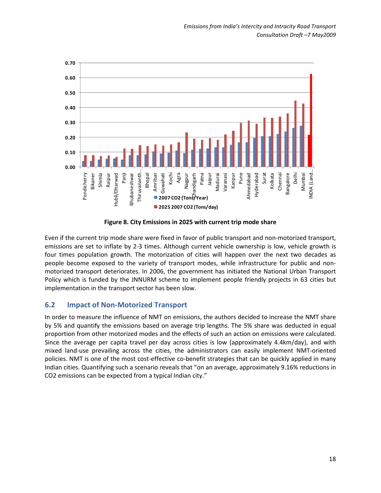

Figure 8. City Emissions in 2025 with current trip mode share

Even if the current trip mode share were fixed in favor of public transport and non-motorized transport, emissions are set to inflate by 2-3 times. Although current vehicle ownership is low, vehicle growth is four times population growth. The motorization of cities will happen over the next two decades as people become exposed to the variety of transport modes, while infrastructure for public and nonmotorized transport deteriorates. In 2006, the government has initiated the National Urban Transport Policy which is funded by the JNNURM scheme to implement people friendly projects in 63 cities but implementation in the transport sector has been slow.

# 6.2 Impact of Non-Motorized Transport

In order to measure the influence of NMT on emissions, the authors decided to increase the NMT share by 5% and quantify the emissions based on average trip lengths. The 5% share was deducted in equal proportion from other motorized modes and the effects of such an action on emissions were calculated. Since the average per capita travel per day across cities is low (approximately 4.4km/day), and with mixed land-use prevailing across the cities, the administrators can easily implement NMT-oriented policies. NMT is one of the most cost-effective co-benefit strategies that can be quickly applied in many Indian cities. Quantifying such a scenario reveals that "on an average, approximately 9.16% reductions in CO2 emissions can be expected from a typical Indian city."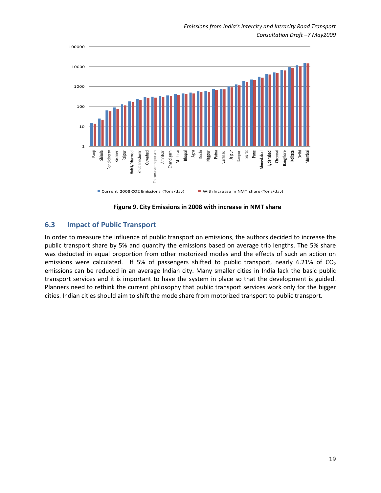

Figure 9. City Emissions in 2008 with increase in NMT share

### 6.3 Impact of Public Transport

In order to measure the influence of public transport on emissions, the authors decided to increase the public transport share by 5% and quantify the emissions based on average trip lengths. The 5% share was deducted in equal proportion from other motorized modes and the effects of such an action on emissions were calculated. If 5% of passengers shifted to public transport, nearly 6.21% of  $CO<sub>2</sub>$ emissions can be reduced in an average Indian city. Many smaller cities in India lack the basic public transport services and it is important to have the system in place so that the development is guided. Planners need to rethink the current philosophy that public transport services work only for the bigger cities. Indian cities should aim to shift the mode share from motorized transport to public transport.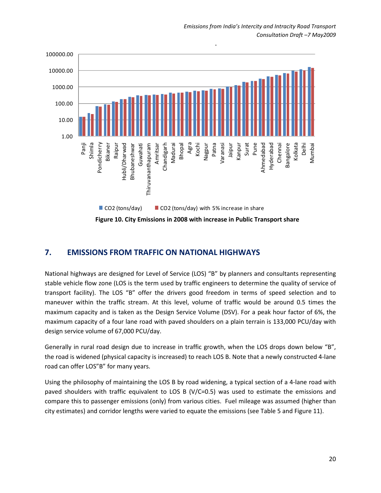

# 7. EMISSIONS FROM TRAFFIC ON NATIONAL HIGHWAYS

National highways are designed for Level of Service (LOS) "B" by planners and consultants representing stable vehicle flow zone (LOS is the term used by traffic engineers to determine the quality of service of transport facility). The LOS "B" offer the drivers good freedom in terms of speed selection and to maneuver within the traffic stream. At this level, volume of traffic would be around 0.5 times the maximum capacity and is taken as the Design Service Volume (DSV). For a peak hour factor of 6%, the maximum capacity of a four lane road with paved shoulders on a plain terrain is 133,000 PCU/day with design service volume of 67,000 PCU/day.

Generally in rural road design due to increase in traffic growth, when the LOS drops down below "B", the road is widened (physical capacity is increased) to reach LOS B. Note that a newly constructed 4-lane road can offer LOS"B" for many years.

Using the philosophy of maintaining the LOS B by road widening, a typical section of a 4-lane road with paved shoulders with traffic equivalent to LOS B (V/C=0.5) was used to estimate the emissions and compare this to passenger emissions (only) from various cities. Fuel mileage was assumed (higher than city estimates) and corridor lengths were varied to equate the emissions (see Table 5 and Figure 11).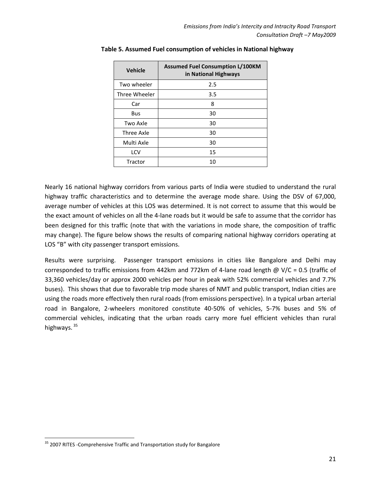| <b>Vehicle</b> | <b>Assumed Fuel Consumption L/100KM</b><br>in National Highways |
|----------------|-----------------------------------------------------------------|
| Two wheeler    | 2.5                                                             |
| Three Wheeler  | 3.5                                                             |
| Car            | 8                                                               |
| Bus            | 30                                                              |
| Two Axle       | 30                                                              |
| Three Axle     | 30                                                              |
| Multi Axle     | 30                                                              |
| LCV            | 15                                                              |
| Tractor        | 10                                                              |

#### Table 5. Assumed Fuel consumption of vehicles in National highway

Nearly 16 national highway corridors from various parts of India were studied to understand the rural highway traffic characteristics and to determine the average mode share. Using the DSV of 67,000, average number of vehicles at this LOS was determined. It is not correct to assume that this would be the exact amount of vehicles on all the 4-lane roads but it would be safe to assume that the corridor has been designed for this traffic (note that with the variations in mode share, the composition of traffic may change). The figure below shows the results of comparing national highway corridors operating at LOS "B" with city passenger transport emissions.

Results were surprising. Passenger transport emissions in cities like Bangalore and Delhi may corresponded to traffic emissions from 442km and 772km of 4-lane road length @ V/C = 0.5 (traffic of 33,360 vehicles/day or approx 2000 vehicles per hour in peak with 52% commercial vehicles and 7.7% buses). This shows that due to favorable trip mode shares of NMT and public transport, Indian cities are using the roads more effectively then rural roads (from emissions perspective). In a typical urban arterial road in Bangalore, 2-wheelers monitored constitute 40-50% of vehicles, 5-7% buses and 5% of commercial vehicles, indicating that the urban roads carry more fuel efficient vehicles than rural highways.<sup>35</sup>

l

<sup>&</sup>lt;sup>35</sup> 2007 RITES -Comprehensive Traffic and Transportation study for Bangalore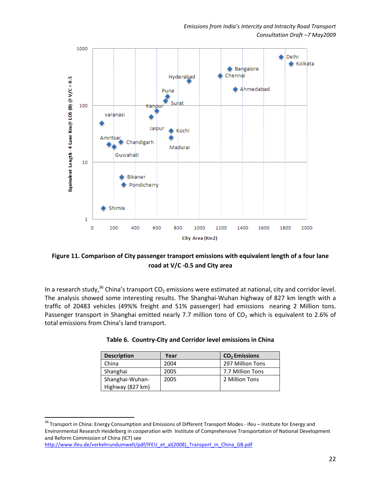

### Figure 11. Comparison of City passenger transport emissions with equivalent length of a four lane road at V/C -0.5 and City area

In a research study,<sup>36</sup> China's transport  $CO_2$  emissions were estimated at national, city and corridor level. The analysis showed some interesting results. The Shanghai-Wuhan highway of 827 km length with a traffic of 20483 vehicles (49%% freight and 51% passenger) had emissions nearing 2 Million tons. Passenger transport in Shanghai emitted nearly 7.7 million tons of  $CO<sub>2</sub>$  which is equivalent to 2.6% of total emissions from China's land transport.

| <b>Description</b> | Year | CO <sub>2</sub> Emissions |
|--------------------|------|---------------------------|
| China              | 2004 | 297 Million Tons          |
| Shanghai           | 2005 | 7.7 Million Tons          |
| Shanghai-Wuhan-    | 2005 | 2 Million Tons            |
| Highway (827 km)   |      |                           |

|  |  |  | Table 6. Country-City and Corridor level emissions in China |  |
|--|--|--|-------------------------------------------------------------|--|
|  |  |  |                                                             |  |

l

<sup>&</sup>lt;sup>36</sup> Transport in China: Energy Consumption and Emissions of Different Transport Modes - ifeu – Institute for Energy and Environmental Research Heidelberg in cooperation with Institute of Comprehensive Transportation of National Development and Reform Commission of China (ICT) see

http://www.ifeu.de/verkehrundumwelt/pdf/IFEU\_et\_al(2008)\_Transport\_in\_China\_GB.pdf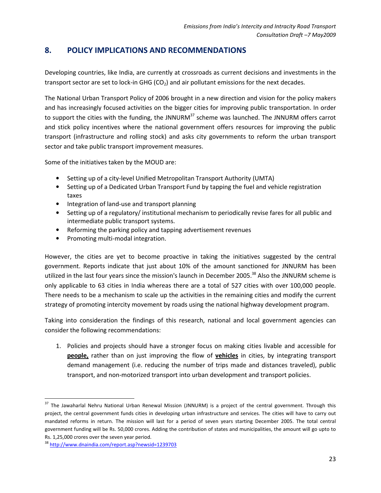# 8. POLICY IMPLICATIONS AND RECOMMENDATIONS

Developing countries, like India, are currently at crossroads as current decisions and investments in the transport sector are set to lock-in GHG ( $CO<sub>2</sub>$ ) and air pollutant emissions for the next decades.

The National Urban Transport Policy of 2006 brought in a new direction and vision for the policy makers and has increasingly focused activities on the bigger cities for improving public transportation. In order to support the cities with the funding, the JNNURM $37$  scheme was launched. The JNNURM offers carrot and stick policy incentives where the national government offers resources for improving the public transport (infrastructure and rolling stock) and asks city governments to reform the urban transport sector and take public transport improvement measures.

Some of the initiatives taken by the MOUD are:

- Setting up of a city-level Unified Metropolitan Transport Authority (UMTA)
- Setting up of a Dedicated Urban Transport Fund by tapping the fuel and vehicle registration taxes
- Integration of land-use and transport planning
- Setting up of a regulatory/ institutional mechanism to periodically revise fares for all public and intermediate public transport systems.
- Reforming the parking policy and tapping advertisement revenues
- Promoting multi-modal integration.

However, the cities are yet to become proactive in taking the initiatives suggested by the central government. Reports indicate that just about 10% of the amount sanctioned for JNNURM has been utilized in the last four years since the mission's launch in December 2005.<sup>38</sup> Also the JNNURM scheme is only applicable to 63 cities in India whereas there are a total of 527 cities with over 100,000 people. There needs to be a mechanism to scale up the activities in the remaining cities and modify the current strategy of promoting intercity movement by roads using the national highway development program.

Taking into consideration the findings of this research, national and local government agencies can consider the following recommendations:

1. Policies and projects should have a stronger focus on making cities livable and accessible for people, rather than on just improving the flow of vehicles in cities, by integrating transport demand management (i.e. reducing the number of trips made and distances traveled), public transport, and non-motorized transport into urban development and transport policies.

<sup>&</sup>lt;sup>37</sup> The Jawaharlal Nehru National Urban Renewal Mission (JNNURM) is a project of the central government. Through this project, the central government funds cities in developing urban infrastructure and services. The cities will have to carry out mandated reforms in return. The mission will last for a period of seven years starting December 2005. The total central government funding will be Rs. 50,000 crores. Adding the contribution of states and municipalities, the amount will go upto to Rs. 1,25,000 crores over the seven year period.

<sup>38</sup> http://www.dnaindia.com/report.asp?newsid=1239703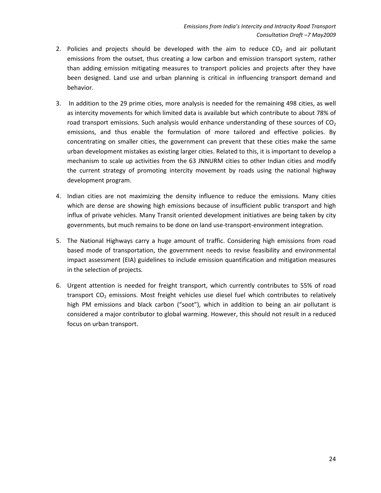- 2. Policies and projects should be developed with the aim to reduce  $CO<sub>2</sub>$  and air pollutant emissions from the outset, thus creating a low carbon and emission transport system, rather than adding emission mitigating measures to transport policies and projects after they have been designed. Land use and urban planning is critical in influencing transport demand and behavior.
- 3. In addition to the 29 prime cities, more analysis is needed for the remaining 498 cities, as well as intercity movements for which limited data is available but which contribute to about 78% of road transport emissions. Such analysis would enhance understanding of these sources of  $CO<sub>2</sub>$ emissions, and thus enable the formulation of more tailored and effective policies. By concentrating on smaller cities, the government can prevent that these cities make the same urban development mistakes as existing larger cities. Related to this, it is important to develop a mechanism to scale up activities from the 63 JNNURM cities to other Indian cities and modify the current strategy of promoting intercity movement by roads using the national highway development program.
- 4. Indian cities are not maximizing the density influence to reduce the emissions. Many cities which are dense are showing high emissions because of insufficient public transport and high influx of private vehicles. Many Transit oriented development initiatives are being taken by city governments, but much remains to be done on land use-transport-environment integration.
- 5. The National Highways carry a huge amount of traffic. Considering high emissions from road based mode of transportation, the government needs to revise feasibility and environmental impact assessment (EIA) guidelines to include emission quantification and mitigation measures in the selection of projects.
- 6. Urgent attention is needed for freight transport, which currently contributes to 55% of road transport  $CO<sub>2</sub>$  emissions. Most freight vehicles use diesel fuel which contributes to relatively high PM emissions and black carbon ("soot"), which in addition to being an air pollutant is considered a major contributor to global warming. However, this should not result in a reduced focus on urban transport.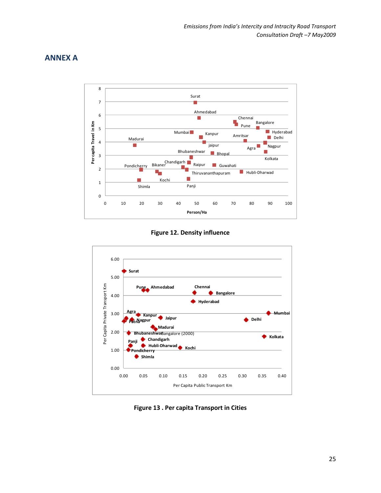# ANNEX A



Figure 12. Density influence



Figure 13 . Per capita Transport in Cities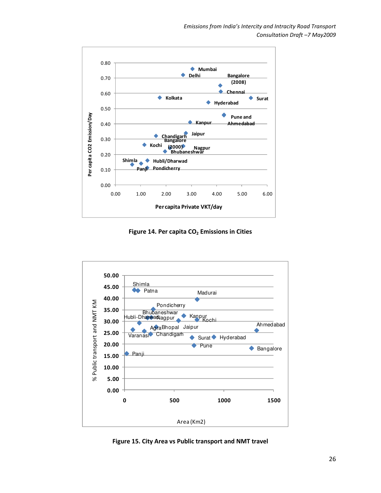

Figure 14. Per capita  $CO<sub>2</sub>$  Emissions in Cities



Figure 15. City Area vs Public transport and NMT travel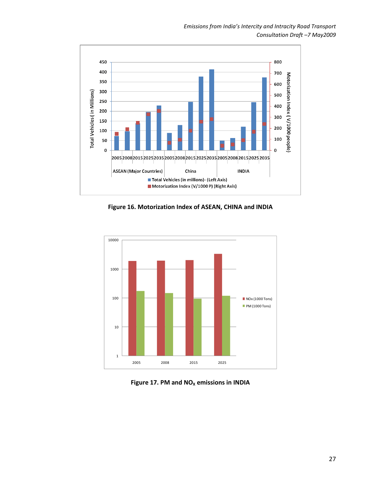

Figure 16. Motorization Index of ASEAN, CHINA and INDIA